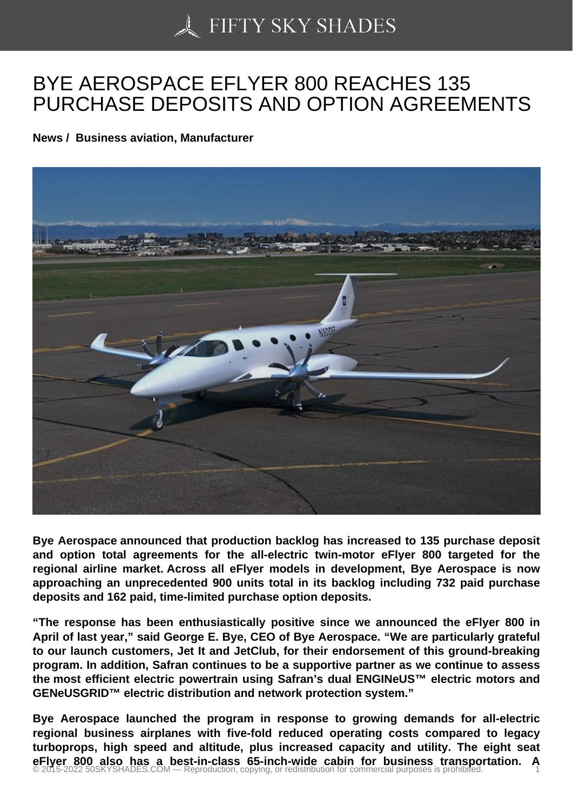## [BYE AEROSPACE EF](https://50skyshades.com)LYER 800 REACHES 135 PURCHASE DEPOSITS AND OPTION AGREEMENTS

News / Business aviation, Manufacturer

Bye Aerospace announced that production backlog has increased to 135 purchase deposit and option total agreements for the all-electric twin-motor eFlyer 800 targeted for the regional airline market. Across all eFlyer models in development, Bye Aerospace is now approaching an unprecedented 900 units total in its backlog including 732 paid purchase deposits and 162 paid, time-limited purchase option deposits.

"The response has been enthusiastically positive since we announced the eFlyer 800 in April of last year," said George E. Bye, CEO of Bye Aerospace. "We are particularly grateful to our launch customers, Jet It and JetClub, for their endorsement of this ground-breaking program. In addition, Safran continues to be a supportive partner as we continue to assess the most efficient electric powertrain using Safran's dual ENGINeUS™ electric motors and GENeUSGRID™ electric distribution and network protection system."

Bye Aerospace launched the program in response to growing demands for all-electric regional business airplanes with five-fold reduced operating costs compared to legacy turboprops, high speed and altitude, plus increased capacity and utility. The eight seat eFlyer 800 also has a best-in-class 65-inch-wide cabin for business transportation. A<br>© 2015-2022 50SKYSHADES.COM — Reproduction, copying, or redistribution for commercial purposes is prohibited.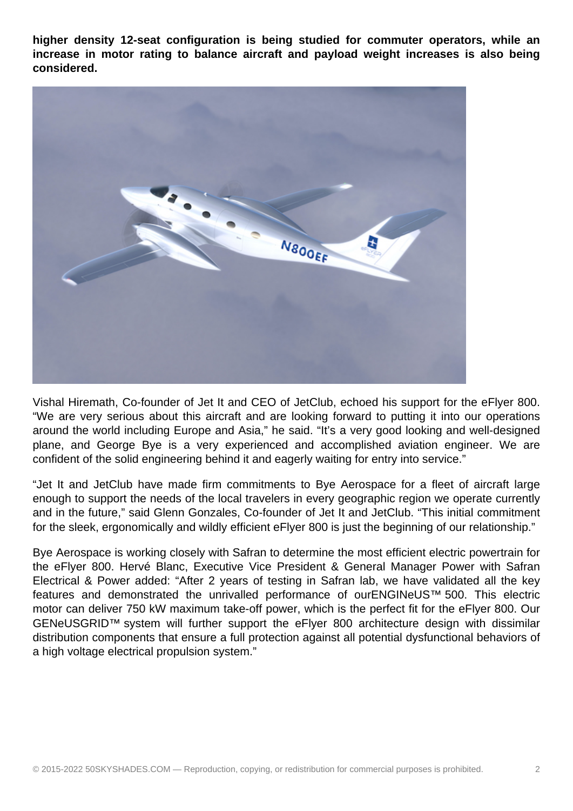**higher density 12-seat configuration is being studied for commuter operators, while an increase in motor rating to balance aircraft and payload weight increases is also being considered.**



Vishal Hiremath, Co-founder of Jet It and CEO of JetClub, echoed his support for the eFlyer 800. "We are very serious about this aircraft and are looking forward to putting it into our operations around the world including Europe and Asia," he said. "It's a very good looking and well-designed plane, and George Bye is a very experienced and accomplished aviation engineer. We are confident of the solid engineering behind it and eagerly waiting for entry into service."

"Jet It and JetClub have made firm commitments to Bye Aerospace for a fleet of aircraft large enough to support the needs of the local travelers in every geographic region we operate currently and in the future," said Glenn Gonzales, Co-founder of Jet It and JetClub. "This initial commitment for the sleek, ergonomically and wildly efficient eFlyer 800 is just the beginning of our relationship."

Bye Aerospace is working closely with Safran to determine the most efficient electric powertrain for the eFlyer 800. Hervé Blanc, Executive Vice President & General Manager Power with Safran Electrical & Power added: "After 2 years of testing in Safran lab, we have validated all the key features and demonstrated the unrivalled performance of ourENGINeUS™ 500. This electric motor can deliver 750 kW maximum take-off power, which is the perfect fit for the eFlyer 800. Our GENeUSGRID™ system will further support the eFlyer 800 architecture design with dissimilar distribution components that ensure a full protection against all potential dysfunctional behaviors of a high voltage electrical propulsion system."